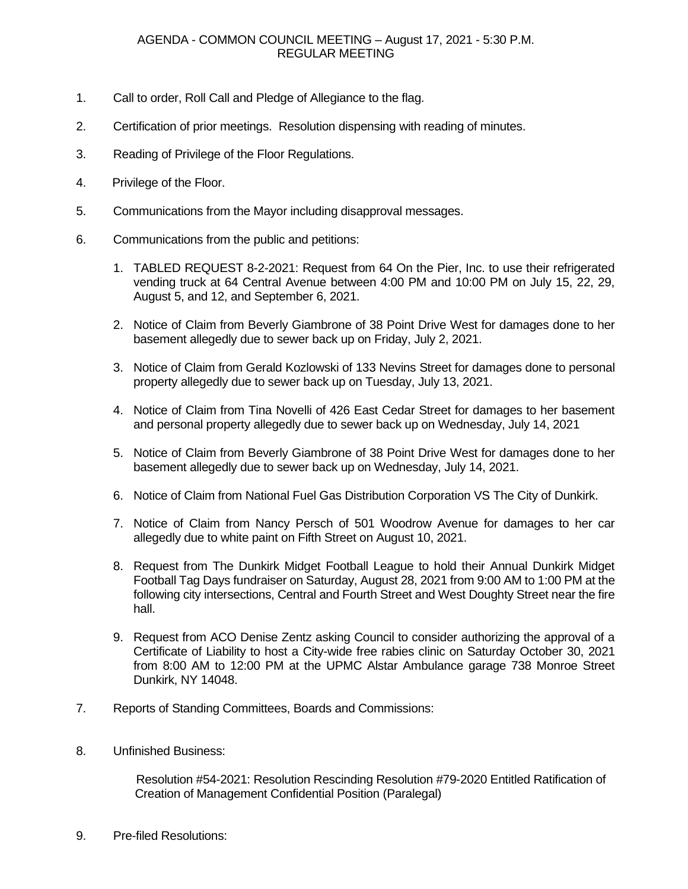- 1. Call to order, Roll Call and Pledge of Allegiance to the flag.
- 2. Certification of prior meetings. Resolution dispensing with reading of minutes.
- 3. Reading of Privilege of the Floor Regulations.
- 4. Privilege of the Floor.
- 5. Communications from the Mayor including disapproval messages.
- 6. Communications from the public and petitions:
	- 1. TABLED REQUEST 8-2-2021: Request from 64 On the Pier, Inc. to use their refrigerated vending truck at 64 Central Avenue between 4:00 PM and 10:00 PM on July 15, 22, 29, August 5, and 12, and September 6, 2021.
	- 2. Notice of Claim from Beverly Giambrone of 38 Point Drive West for damages done to her basement allegedly due to sewer back up on Friday, July 2, 2021.
	- 3. Notice of Claim from Gerald Kozlowski of 133 Nevins Street for damages done to personal property allegedly due to sewer back up on Tuesday, July 13, 2021.
	- 4. Notice of Claim from Tina Novelli of 426 East Cedar Street for damages to her basement and personal property allegedly due to sewer back up on Wednesday, July 14, 2021
	- 5. Notice of Claim from Beverly Giambrone of 38 Point Drive West for damages done to her basement allegedly due to sewer back up on Wednesday, July 14, 2021.
	- 6. Notice of Claim from National Fuel Gas Distribution Corporation VS The City of Dunkirk.
	- 7. Notice of Claim from Nancy Persch of 501 Woodrow Avenue for damages to her car allegedly due to white paint on Fifth Street on August 10, 2021.
	- 8. Request from The Dunkirk Midget Football League to hold their Annual Dunkirk Midget Football Tag Days fundraiser on Saturday, August 28, 2021 from 9:00 AM to 1:00 PM at the following city intersections, Central and Fourth Street and West Doughty Street near the fire hall.
	- 9. Request from ACO Denise Zentz asking Council to consider authorizing the approval of a Certificate of Liability to host a City-wide free rabies clinic on Saturday October 30, 2021 from 8:00 AM to 12:00 PM at the UPMC Alstar Ambulance garage 738 Monroe Street Dunkirk, NY 14048.
- 7. Reports of Standing Committees, Boards and Commissions:
- 8. Unfinished Business:

 Resolution #54-2021: Resolution Rescinding Resolution #79-2020 Entitled Ratification of Creation of Management Confidential Position (Paralegal)

9. Pre-filed Resolutions: